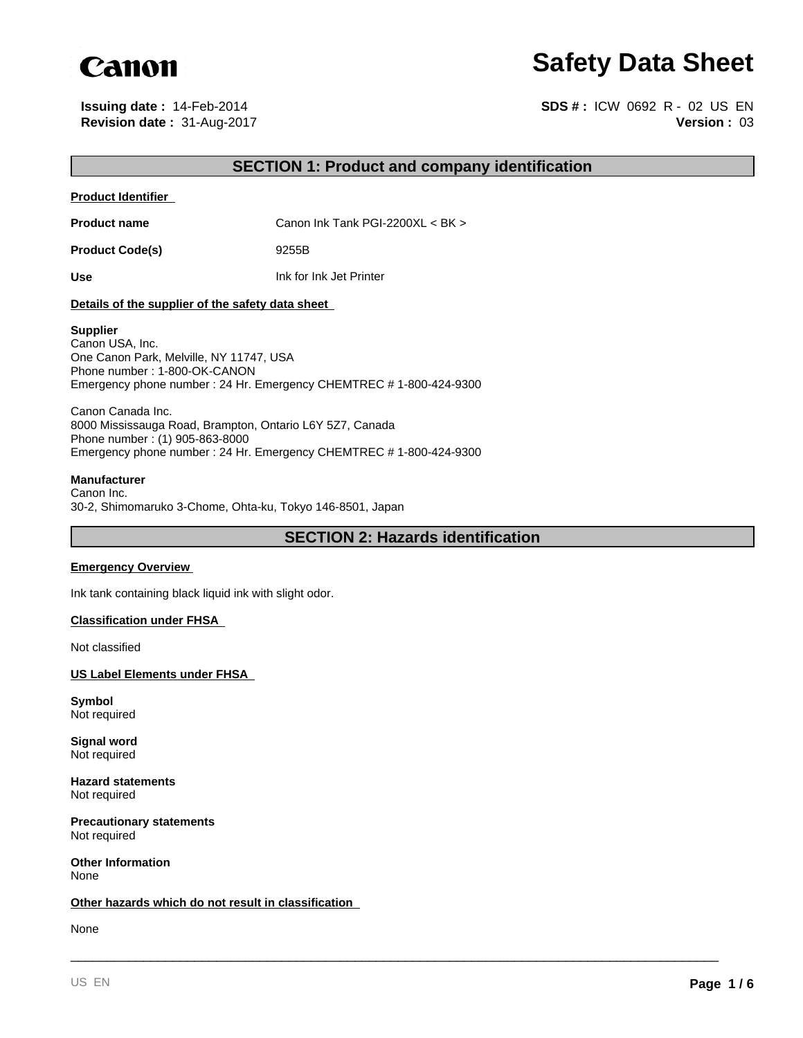

# **Safety Data Sheet**

**Revision date :** 31-Aug-2017 **Issuing date :** 14-Feb-2014

**Version :** 03 **SDS # :** ICW 0692 R - 02 US EN

# **SECTION 1: Product and company identification**

#### **Product Identifier**

**Product name** Canon Ink Tank PGI-2200XL < BK >

Product Code(s) 9255B

**Use** Ink for Ink Jet Printer

#### **Details of the supplier of the safety data sheet**

#### **Supplier**

Canon USA, Inc. One Canon Park, Melville, NY 11747, USA Phone number : 1-800-OK-CANON Emergency phone number : 24 Hr. Emergency CHEMTREC # 1-800-424-9300

Canon Canada Inc. 8000 Mississauga Road, Brampton, Ontario L6Y 5Z7, Canada Phone number : (1) 905-863-8000 Emergency phone number : 24 Hr. Emergency CHEMTREC # 1-800-424-9300

#### **Manufacturer**

Canon Inc. 30-2, Shimomaruko 3-Chome, Ohta-ku, Tokyo 146-8501, Japan

**SECTION 2: Hazards identification**

\_\_\_\_\_\_\_\_\_\_\_\_\_\_\_\_\_\_\_\_\_\_\_\_\_\_\_\_\_\_\_\_\_\_\_\_\_\_\_\_\_\_\_\_\_\_\_\_\_\_\_\_\_\_\_\_\_\_\_\_\_\_\_\_\_\_\_\_\_\_\_\_\_\_\_\_\_\_\_\_\_\_\_\_\_\_\_\_\_

#### **Emergency Overview**

Ink tank containing black liquid ink with slight odor.

#### **Classification under FHSA**

Not classified

**US Label Elements under FHSA** 

**Symbol** Not required

**Signal word** Not required

**Hazard statements** Not required

**Precautionary statements** Not required

**Other Information** None

#### **Other hazards which do not result in classification**

None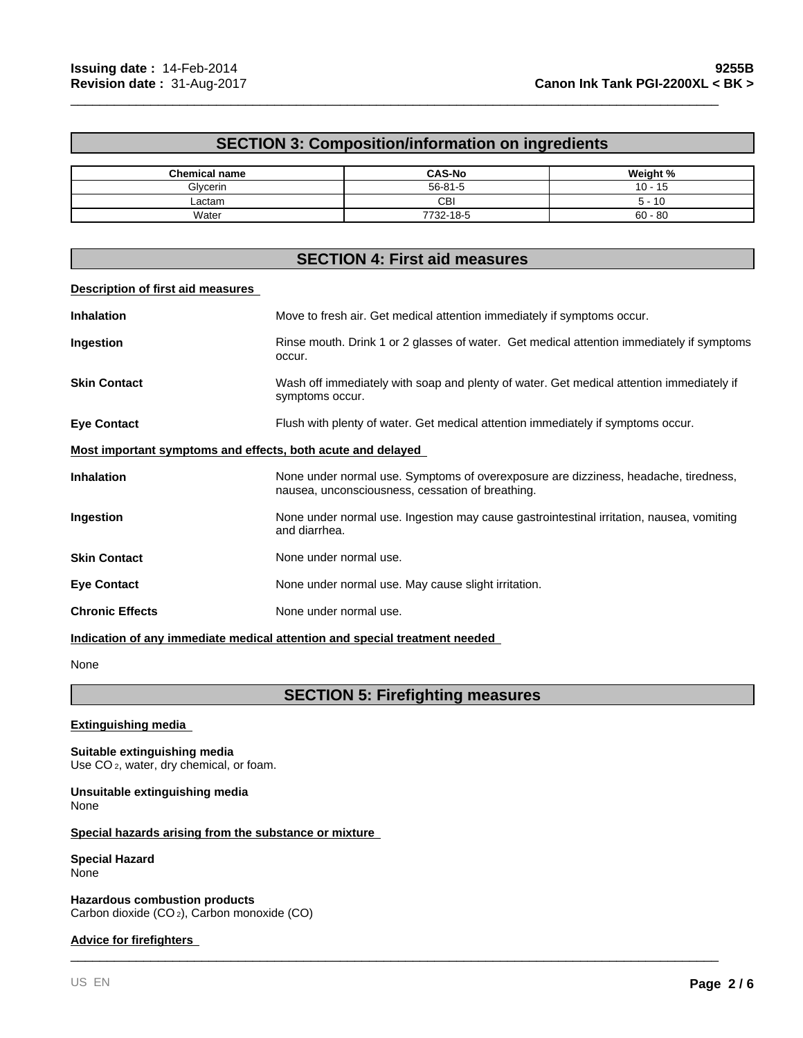# **SECTION 3: Composition/information on ingredients**

\_\_\_\_\_\_\_\_\_\_\_\_\_\_\_\_\_\_\_\_\_\_\_\_\_\_\_\_\_\_\_\_\_\_\_\_\_\_\_\_\_\_\_\_\_\_\_\_\_\_\_\_\_\_\_\_\_\_\_\_\_\_\_\_\_\_\_\_\_\_\_\_\_\_\_\_\_\_\_\_\_\_\_\_\_\_\_\_\_

| <b>Chemical name</b> | <b>CAS-No</b> | Weight %        |
|----------------------|---------------|-----------------|
| Glycerin             | $56 - 81 - 5$ | $-15$<br>$10 -$ |
| ∟actam               | CBI           | 5 - 10          |
| Water                | 7732-18-5     | $60 - 80$       |

# **SECTION 4: First aid measures**

#### **Description of first aid measures**

| <b>Inhalation</b>                                                  | Move to fresh air. Get medical attention immediately if symptoms occur.                                                                 |
|--------------------------------------------------------------------|-----------------------------------------------------------------------------------------------------------------------------------------|
| Ingestion                                                          | Rinse mouth. Drink 1 or 2 glasses of water. Get medical attention immediately if symptoms<br>occur.                                     |
| <b>Skin Contact</b>                                                | Wash off immediately with soap and plenty of water. Get medical attention immediately if<br>symptoms occur.                             |
| <b>Eye Contact</b>                                                 | Flush with plenty of water. Get medical attention immediately if symptoms occur.                                                        |
| <u>Most important symptoms and effects, both acute and delayed</u> |                                                                                                                                         |
| <b>Inhalation</b>                                                  | None under normal use. Symptoms of overexposure are dizziness, headache, tiredness,<br>nausea, unconsciousness, cessation of breathing. |
| <b>Ingestion</b>                                                   | None under normal use. Ingestion may cause gastrointestinal irritation, nausea, vomiting<br>and diarrhea.                               |
| <b>Skin Contact</b>                                                | None under normal use.                                                                                                                  |
| <b>Eye Contact</b>                                                 | None under normal use. May cause slight irritation.                                                                                     |
| <b>Chronic Effects</b>                                             | None under normal use.                                                                                                                  |
|                                                                    |                                                                                                                                         |

**Indication of any immediate medical attention and special treatment needed** 

None

# **SECTION 5: Firefighting measures**

\_\_\_\_\_\_\_\_\_\_\_\_\_\_\_\_\_\_\_\_\_\_\_\_\_\_\_\_\_\_\_\_\_\_\_\_\_\_\_\_\_\_\_\_\_\_\_\_\_\_\_\_\_\_\_\_\_\_\_\_\_\_\_\_\_\_\_\_\_\_\_\_\_\_\_\_\_\_\_\_\_\_\_\_\_\_\_\_\_

## **Extinguishing media**

**Suitable extinguishing media** Use CO<sub>2</sub>, water, dry chemical, or foam.

#### **Unsuitable extinguishing media** None

#### **Special hazards arising from the substance or mixture**

#### **Special Hazard** None

**Hazardous combustion products** Carbon dioxide (CO 2), Carbon monoxide (CO)

#### **Advice for firefighters**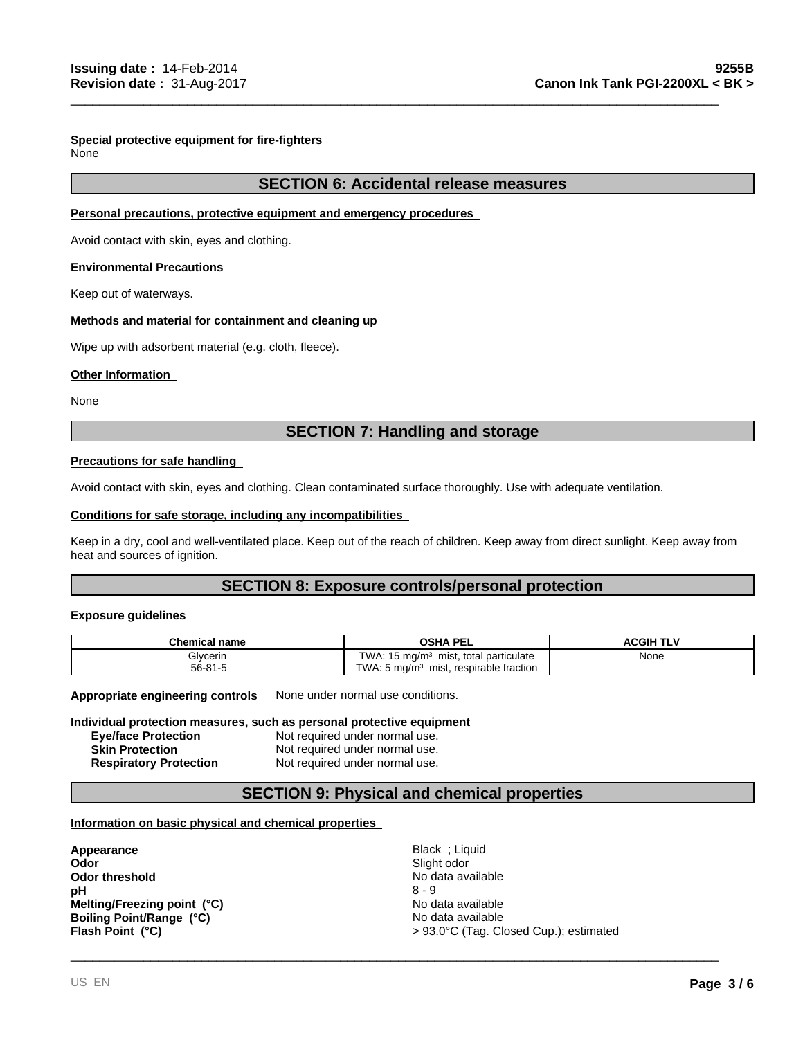#### **Special protective equipment for fire-fighters** None

## **SECTION 6: Accidental release measures**

\_\_\_\_\_\_\_\_\_\_\_\_\_\_\_\_\_\_\_\_\_\_\_\_\_\_\_\_\_\_\_\_\_\_\_\_\_\_\_\_\_\_\_\_\_\_\_\_\_\_\_\_\_\_\_\_\_\_\_\_\_\_\_\_\_\_\_\_\_\_\_\_\_\_\_\_\_\_\_\_\_\_\_\_\_\_\_\_\_

#### **Personal precautions, protective equipment and emergency procedures**

Avoid contact with skin, eyes and clothing.

#### **Environmental Precautions**

Keep out of waterways.

#### **Methods and material for containment and cleaning up**

Wipe up with adsorbent material (e.g. cloth, fleece).

#### **Other Information**

None

# **SECTION 7: Handling and storage**

#### **Precautions for safe handling**

Avoid contact with skin, eyes and clothing. Clean contaminated surface thoroughly. Use with adequate ventilation.

#### **Conditions for safe storage, including any incompatibilities**

Keep in a dry, cool and well-ventilated place. Keep out of the reach of children. Keep away from direct sunlight. Keep away from heat and sources of ignition.

## **SECTION 8: Exposure controls/personal protection**

#### **Exposure guidelines**

| Chemical name | <b>OSHA PEL</b>                                         | <b>ACGIH TL Y</b>     |
|---------------|---------------------------------------------------------|-----------------------|
| Glycerin      | TWA:<br>15 ma/m $\sigma$<br>total particulate<br>mıst.  | None<br>$\sim$ $\sim$ |
| $56 - 81 - 5$ | TWA.<br>. 5 ma/m $^3$<br>, respirable fraction<br>mist. |                       |

**Appropriate engineering controls** None under normal use conditions.

#### **Individual protection measures, such as personal protective equipment**

**Eye/face Protection** Not required under normal use. **Skin Protection** Not required under normal use.

**Respiratory Protection** Not required under normal use.

# **SECTION 9: Physical and chemical properties**

#### **Information on basic physical and chemical properties**

**Appearance** Black ; Liquid **Odor threshold**<br> **Definition Acts and Secure 2018** No data available<br> **DH**<br>
8 - 9 **pH** 8 - 9 **Boiling Point/Range (°C)** No data available **Flash Point (°C) Melting/Freezing point (°C)**

**Odor** Slight odor > 93.0°C (Tag. Closed Cup.); estimated No data available

\_\_\_\_\_\_\_\_\_\_\_\_\_\_\_\_\_\_\_\_\_\_\_\_\_\_\_\_\_\_\_\_\_\_\_\_\_\_\_\_\_\_\_\_\_\_\_\_\_\_\_\_\_\_\_\_\_\_\_\_\_\_\_\_\_\_\_\_\_\_\_\_\_\_\_\_\_\_\_\_\_\_\_\_\_\_\_\_\_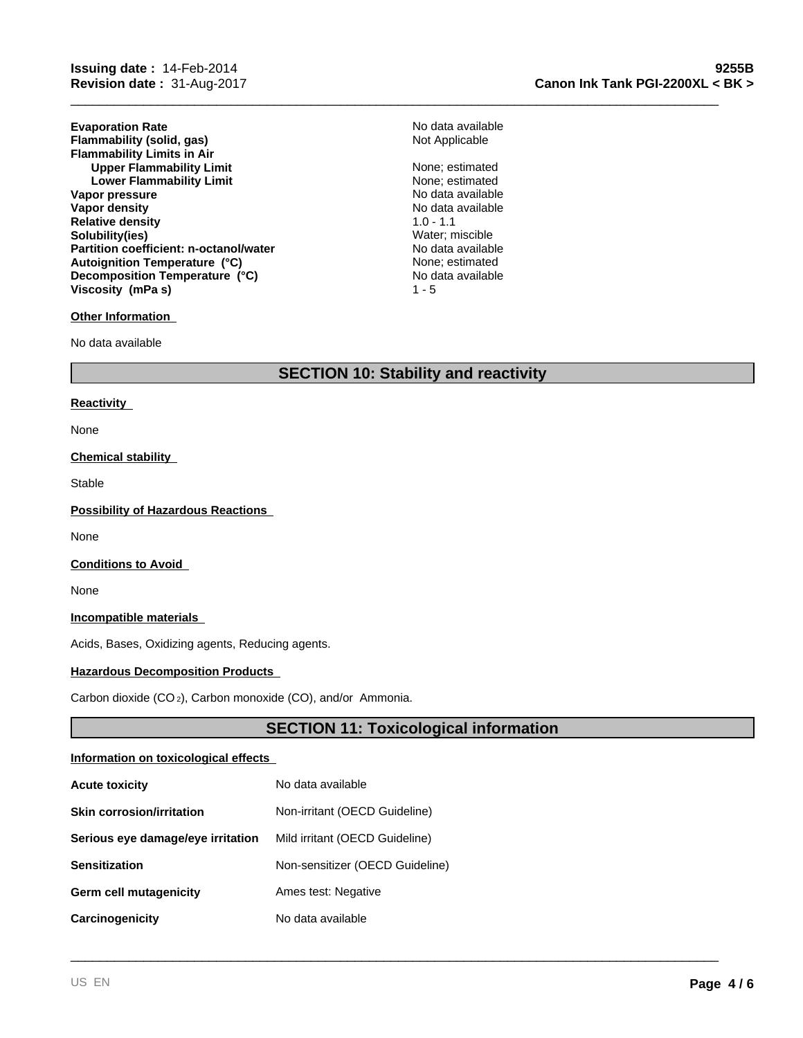**Evaporation Rate Evaporation Rate** No data available<br> **Flammability (solid, gas)** Not Applicable Not Applicable **Flammability (solid, gas) Flammability Limits in Air Upper Flammability Limit** None; estimated Lower Flammability Limit<br>
Lower Flammability Limit<br>
None; estimated **Lower Flammability Limit** None; estimated<br>
None; estimated<br>
No data available **Vapor pressure<br>Vapor density Relative density and the set of the control of the Solubility (ies)** 1.0 - 1.1<br> **Solubility(ies)** Solubility(ies) **Solubility(ies) Partition coefficient: n-octanol/water** No data available **Autoignition Temperature (°C) Decomposition Temperature (°C)** No data available **Viscosity (mPa s)**

#### **Other Information**

No data available

# **SECTION 10: Stability and reactivity**

 $1 - 5$ 

\_\_\_\_\_\_\_\_\_\_\_\_\_\_\_\_\_\_\_\_\_\_\_\_\_\_\_\_\_\_\_\_\_\_\_\_\_\_\_\_\_\_\_\_\_\_\_\_\_\_\_\_\_\_\_\_\_\_\_\_\_\_\_\_\_\_\_\_\_\_\_\_\_\_\_\_\_\_\_\_\_\_\_\_\_\_\_\_\_

**No data available** 

None; estimated

#### **Reactivity**

None

#### **Chemical stability**

Stable

#### **Possibility of Hazardous Reactions**

None

#### **Conditions to Avoid**

None

#### **Incompatible materials**

Acids, Bases, Oxidizing agents, Reducing agents.

#### **Hazardous Decomposition Products**

Carbon dioxide (CO 2), Carbon monoxide (CO), and/or Ammonia.

# **SECTION 11: Toxicological information**

\_\_\_\_\_\_\_\_\_\_\_\_\_\_\_\_\_\_\_\_\_\_\_\_\_\_\_\_\_\_\_\_\_\_\_\_\_\_\_\_\_\_\_\_\_\_\_\_\_\_\_\_\_\_\_\_\_\_\_\_\_\_\_\_\_\_\_\_\_\_\_\_\_\_\_\_\_\_\_\_\_\_\_\_\_\_\_\_\_

#### **Information on toxicological effects**

| <b>Acute toxicity</b>             | No data available               |
|-----------------------------------|---------------------------------|
| <b>Skin corrosion/irritation</b>  | Non-irritant (OECD Guideline)   |
| Serious eye damage/eye irritation | Mild irritant (OECD Guideline)  |
| <b>Sensitization</b>              | Non-sensitizer (OECD Guideline) |
| Germ cell mutagenicity            | Ames test: Negative             |
| Carcinogenicity                   | No data available               |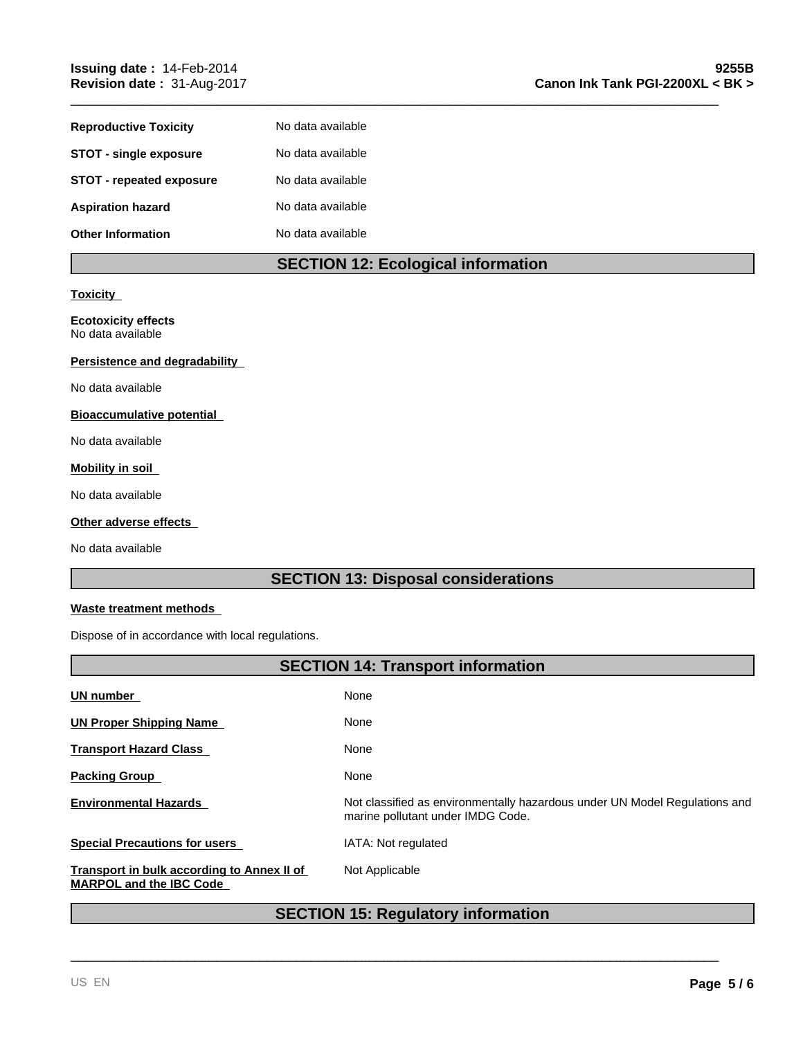| <b>Reproductive Toxicity</b>    | No data available |
|---------------------------------|-------------------|
| <b>STOT - single exposure</b>   | No data available |
| <b>STOT - repeated exposure</b> | No data available |
| <b>Aspiration hazard</b>        | No data available |
| <b>Other Information</b>        | No data available |

# **SECTION 12: Ecological information**

\_\_\_\_\_\_\_\_\_\_\_\_\_\_\_\_\_\_\_\_\_\_\_\_\_\_\_\_\_\_\_\_\_\_\_\_\_\_\_\_\_\_\_\_\_\_\_\_\_\_\_\_\_\_\_\_\_\_\_\_\_\_\_\_\_\_\_\_\_\_\_\_\_\_\_\_\_\_\_\_\_\_\_\_\_\_\_\_\_

#### **Toxicity**

#### **Ecotoxicity effects** No data available

#### **Persistence and degradability**

No data available

#### **Bioaccumulative potential**

No data available

# **Mobility in soil**

No data available

#### **Other adverse effects**

No data available

# **SECTION 13: Disposal considerations**

## **Waste treatment methods**

Dispose of in accordance with local regulations.

| <b>SECTION 14: Transport information</b>                                     |                                                                                                                 |  |
|------------------------------------------------------------------------------|-----------------------------------------------------------------------------------------------------------------|--|
| UN number                                                                    | None                                                                                                            |  |
| <b>UN Proper Shipping Name</b>                                               | None                                                                                                            |  |
| <b>Transport Hazard Class</b>                                                | None                                                                                                            |  |
| <b>Packing Group</b>                                                         | None                                                                                                            |  |
| <b>Environmental Hazards</b>                                                 | Not classified as environmentally hazardous under UN Model Regulations and<br>marine pollutant under IMDG Code. |  |
| <b>Special Precautions for users</b>                                         | IATA: Not regulated                                                                                             |  |
| Transport in bulk according to Annex II of<br><b>MARPOL and the IBC Code</b> | Not Applicable                                                                                                  |  |

# **SECTION 15: Regulatory information**

\_\_\_\_\_\_\_\_\_\_\_\_\_\_\_\_\_\_\_\_\_\_\_\_\_\_\_\_\_\_\_\_\_\_\_\_\_\_\_\_\_\_\_\_\_\_\_\_\_\_\_\_\_\_\_\_\_\_\_\_\_\_\_\_\_\_\_\_\_\_\_\_\_\_\_\_\_\_\_\_\_\_\_\_\_\_\_\_\_